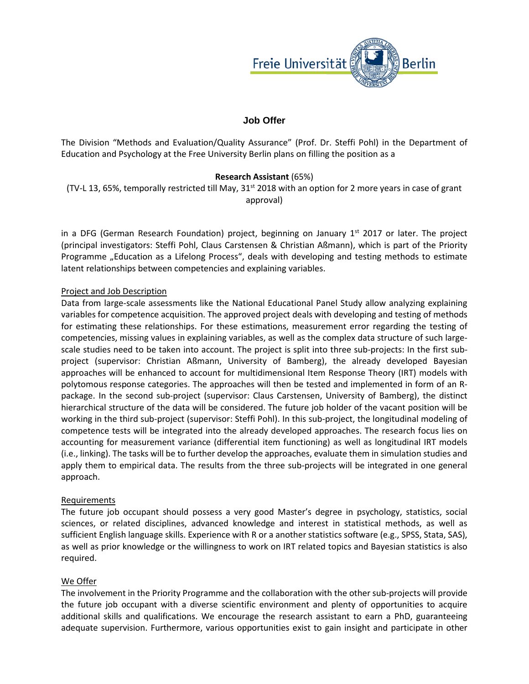

# **Job Offer**

The Division "Methods and Evaluation/Quality Assurance" (Prof. Dr. Steffi Pohl) in the Department of Education and Psychology at the Free University Berlin plans on filling the position as a

## **Research Assistant** (65%)

(TV-L 13, 65%, temporally restricted till May,  $31<sup>st</sup>$  2018 with an option for 2 more years in case of grant approval)

in a DFG (German Research Foundation) project, beginning on January  $1<sup>st</sup>$  2017 or later. The project (principal investigators: Steffi Pohl, Claus Carstensen & Christian Aßmann), which is part of the Priority Programme "Education as a Lifelong Process", deals with developing and testing methods to estimate latent relationships between competencies and explaining variables.

#### Project and Job Description

Data from large-scale assessments like the National Educational Panel Study allow analyzing explaining variables for competence acquisition. The approved project deals with developing and testing of methods for estimating these relationships. For these estimations, measurement error regarding the testing of competencies, missing values in explaining variables, as well as the complex data structure of such largescale studies need to be taken into account. The project is split into three sub-projects: In the first subproject (supervisor: Christian Aßmann, University of Bamberg), the already developed Bayesian approaches will be enhanced to account for multidimensional Item Response Theory (IRT) models with polytomous response categories. The approaches will then be tested and implemented in form of an Rpackage. In the second sub-project (supervisor: Claus Carstensen, University of Bamberg), the distinct hierarchical structure of the data will be considered. The future job holder of the vacant position will be working in the third sub-project (supervisor: Steffi Pohl). In this sub-project, the longitudinal modeling of competence tests will be integrated into the already developed approaches. The research focus lies on accounting for measurement variance (differential item functioning) as well as longitudinal IRT models (i.e., linking). The tasks will be to further develop the approaches, evaluate them in simulation studies and apply them to empirical data. The results from the three sub-projects will be integrated in one general approach.

### Requirements

The future job occupant should possess a very good Master's degree in psychology, statistics, social sciences, or related disciplines, advanced knowledge and interest in statistical methods, as well as sufficient English language skills. Experience with R or a another statistics software (e.g., SPSS, Stata, SAS), as well as prior knowledge or the willingness to work on IRT related topics and Bayesian statistics is also required.

### We Offer

The involvement in the Priority Programme and the collaboration with the other sub-projects will provide the future job occupant with a diverse scientific environment and plenty of opportunities to acquire additional skills and qualifications. We encourage the research assistant to earn a PhD, guaranteeing adequate supervision. Furthermore, various opportunities exist to gain insight and participate in other